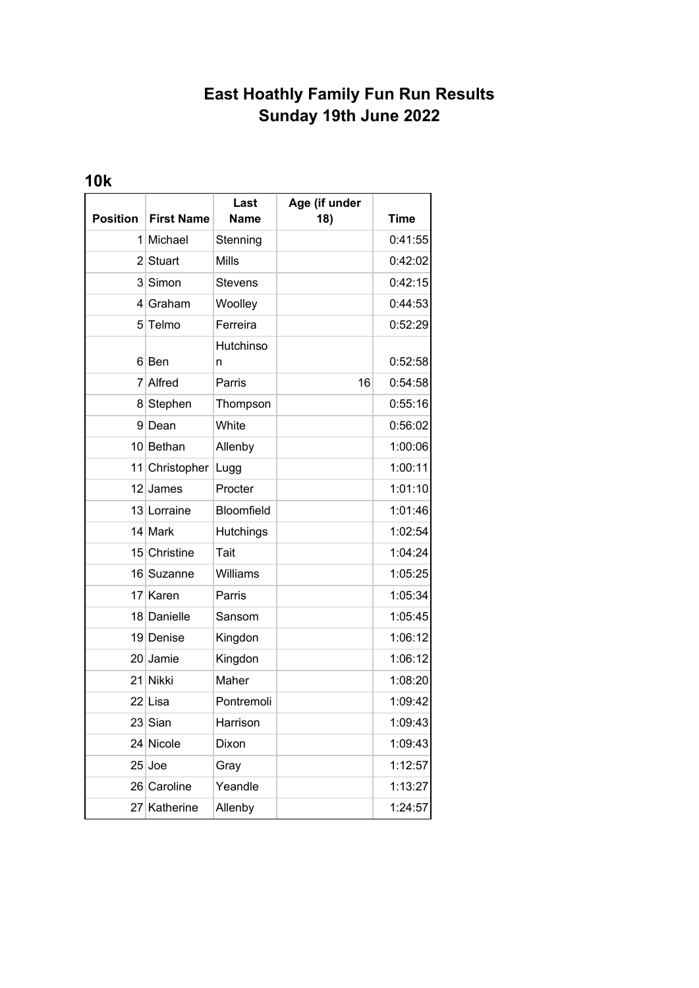## **East Hoathly Family Fun Run Results Sunday 19th June 2022**

## **10k**

|                 |                   | Last              | Age (if under |             |
|-----------------|-------------------|-------------------|---------------|-------------|
| <b>Position</b> | <b>First Name</b> | <b>Name</b>       | 18)           | <b>Time</b> |
| 1 <sup>1</sup>  | Michael           | Stenning          |               | 0:41:55     |
|                 | 2 Stuart          | Mills             |               | 0:42:02     |
|                 | 3 Simon           | <b>Stevens</b>    |               | 0:42:15     |
| 4               | Graham            | Woolley           |               | 0:44:53     |
|                 | 5 Telmo           | Ferreira          |               | 0:52:29     |
|                 | 6 Ben             | Hutchinso<br>n    |               | 0:52:58     |
|                 | 7 Alfred          | Parris            | 16            | 0:54:58     |
|                 | 8 Stephen         | Thompson          |               | 0:55:16     |
|                 | 9 Dean            | White             |               | 0:56:02     |
|                 | 10 Bethan         | Allenby           |               | 1:00:06     |
| 11              | Christopher       | Lugg              |               | 1:00:11     |
| 12 <sup>1</sup> | James             | Procter           |               | 1:01:10     |
|                 | 13 Lorraine       | <b>Bloomfield</b> |               | 1:01:46     |
|                 | 14 Mark           | Hutchings         |               | 1:02:54     |
|                 | 15 Christine      | Tait              |               | 1:04:24     |
|                 | 16 Suzanne        | Williams          |               | 1:05:25     |
|                 | 17 Karen          | Parris            |               | 1:05:34     |
|                 | 18 Danielle       | Sansom            |               | 1:05:45     |
|                 | 19 Denise         | Kingdon           |               | 1:06:12     |
|                 | 20 Jamie          | Kingdon           |               | 1:06:12     |
|                 | 21 Nikki          | Maher             |               | 1:08:20     |
|                 | 22 Lisa           | Pontremoli        |               | 1:09:42     |
|                 | 23 Sian           | Harrison          |               | 1:09:43     |
|                 | 24 Nicole         | Dixon             |               | 1:09:43     |
|                 | $25$ Joe          | Gray              |               | 1:12:57     |
|                 | 26 Caroline       | Yeandle           |               | 1:13:27     |
|                 | 27 Katherine      | Allenby           |               | 1:24:57     |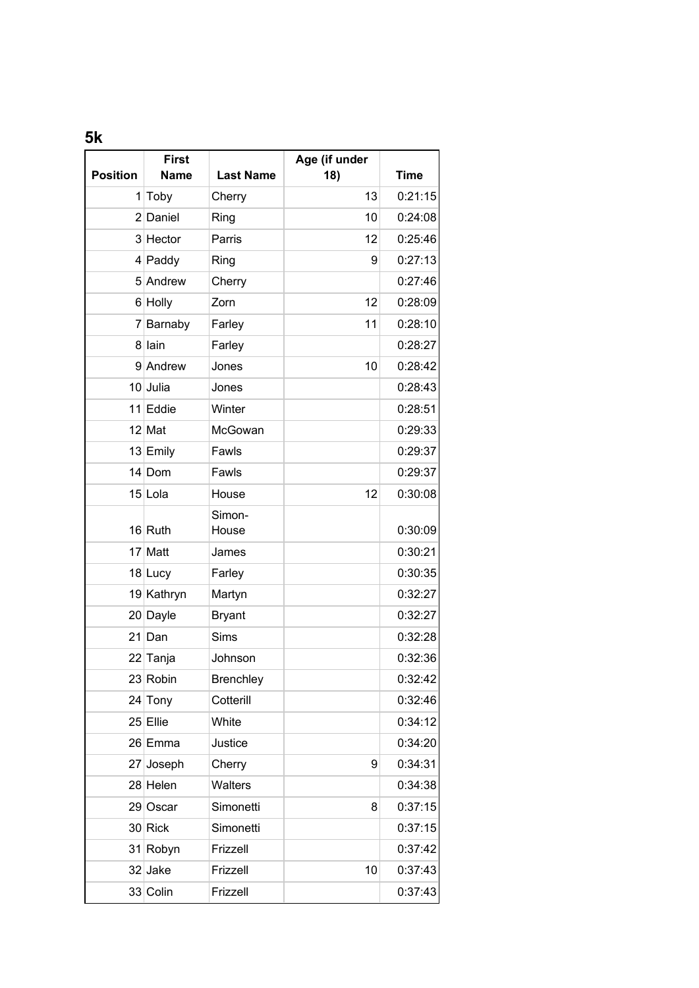**5k**

| <b>Position</b> | <b>First</b><br><b>Name</b> | <b>Last Name</b> | Age (if under<br>18) | <b>Time</b> |
|-----------------|-----------------------------|------------------|----------------------|-------------|
|                 | $1$ Toby                    | Cherry           | 13                   | 0:21:15     |
|                 | 2 Daniel                    | Ring             | 10                   | 0:24:08     |
|                 | 3 Hector                    | Parris           | 12                   | 0:25:46     |
|                 | $4$ Paddy                   | Ring             | 9                    | 0:27:13     |
|                 | 5 Andrew                    | Cherry           |                      | 0:27:46     |
|                 | 6 Holly                     | Zorn             | 12                   | 0:28:09     |
|                 | 7 Barnaby                   | Farley           | 11                   | 0:28:10     |
|                 | 8 lain                      | Farley           |                      | 0:28:27     |
|                 | 9 Andrew                    | Jones            | 10                   | 0:28:42     |
|                 | 10 Julia                    | Jones            |                      | 0:28:43     |
|                 | 11 Eddie                    | Winter           |                      | 0:28:51     |
|                 | $12$ Mat                    | McGowan          |                      | 0:29:33     |
|                 | 13 Emily                    | Fawls            |                      | 0:29:37     |
|                 | $14$ Dom                    | Fawls            |                      | 0:29:37     |
|                 | 15 Lola                     | House            | 12                   | 0:30:08     |
|                 |                             | Simon-           |                      |             |
|                 | $16$ Ruth                   | House            |                      | 0:30:09     |
|                 | 17 Matt                     | James            |                      | 0:30:21     |
|                 | 18 Lucy                     | Farley           |                      | 0:30:35     |
|                 | 19 Kathryn                  | Martyn           |                      | 0:32:27     |
|                 | 20 Dayle                    | <b>Bryant</b>    |                      | 0:32:27     |
|                 | $21$ Dan                    | <b>Sims</b>      |                      | 0:32:28     |
|                 | 22 Tanja                    | Johnson          |                      | 0:32:36     |
|                 | 23 Robin                    | <b>Brenchley</b> |                      | 0:32:42     |
|                 | 24 Tony                     | Cotterill        |                      | 0:32:46     |
|                 | $25$ Ellie                  | White            |                      | 0:34:12     |
|                 | 26 Emma                     | Justice          |                      | 0:34:20     |
|                 | 27 Joseph                   | Cherry           | 9                    | 0:34:31     |
|                 | 28 Helen                    | Walters          |                      | 0:34:38     |
|                 | 29 Oscar                    | Simonetti        | 8                    | 0:37:15     |
|                 | 30 Rick                     | Simonetti        |                      | 0:37:15     |
|                 | 31 Robyn                    | Frizzell         |                      | 0:37:42     |
|                 | 32 Jake                     | Frizzell         | 10                   | 0:37:43     |
|                 | 33 Colin                    | Frizzell         |                      | 0:37:43     |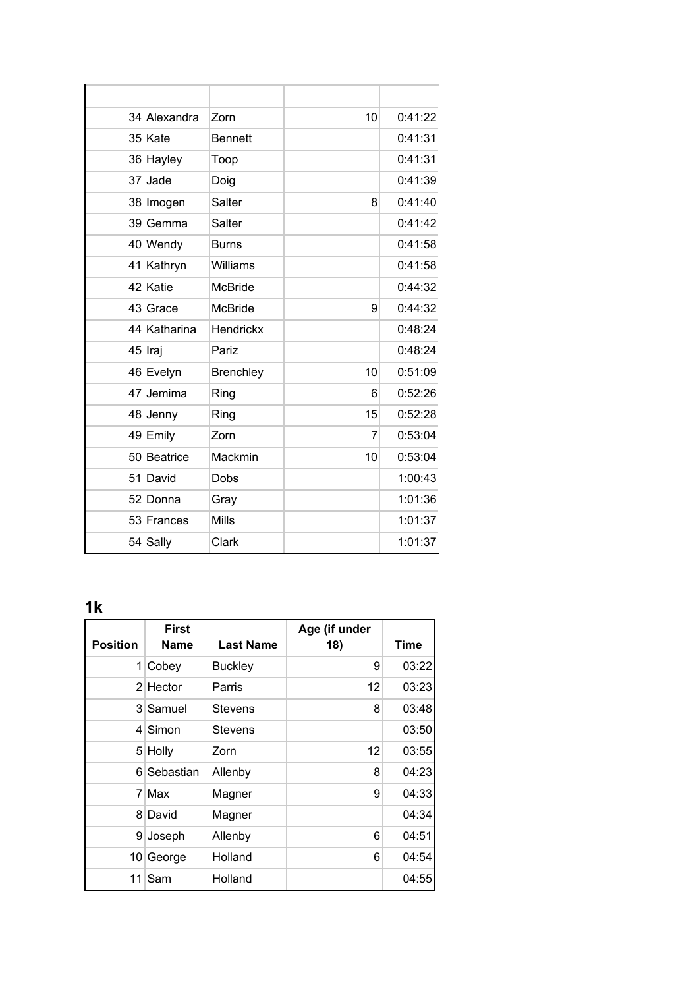| 34 Alexandra | Zorn           | 10 | 0:41:22 |
|--------------|----------------|----|---------|
| 35 Kate      | <b>Bennett</b> |    | 0:41:31 |
| 36 Hayley    | Toop           |    | 0:41:31 |
| 37 Jade      | Doig           |    | 0:41:39 |
| 38 Imogen    | Salter         | 8  | 0:41:40 |
| 39 Gemma     | Salter         |    | 0:41:42 |
| 40 Wendy     | <b>Burns</b>   |    | 0:41:58 |
| 41 Kathryn   | Williams       |    | 0:41:58 |
| 42 Katie     | McBride        |    | 0:44:32 |
| 43 Grace     | McBride        | 9  | 0:44:32 |
| 44 Katharina | Hendrickx      |    | 0:48:24 |
| 45 Iraj      | Pariz          |    | 0:48:24 |
| 46 Evelyn    | Brenchley      | 10 | 0:51:09 |
| 47 Jemima    | Ring           | 6  | 0:52:26 |
| 48 Jenny     | Ring           | 15 | 0:52:28 |
| 49 Emily     | Zorn           | 7  | 0:53:04 |
| 50 Beatrice  | Mackmin        | 10 | 0:53:04 |
| 51 David     | Dobs           |    | 1:00:43 |
| 52 Donna     | Gray           |    | 1:01:36 |
| 53 Frances   | <b>Mills</b>   |    | 1:01:37 |
| 54 Sally     | Clark          |    | 1:01:37 |

## **1k**

| <b>Position</b> | <b>First</b><br><b>Name</b> | <b>Last Name</b> | Age (if under<br>18) | Time  |
|-----------------|-----------------------------|------------------|----------------------|-------|
|                 | $1$ Cobey                   | <b>Buckley</b>   | 9                    | 03:22 |
|                 | $2$ Hector                  | Parris           | 12                   | 03:23 |
|                 | 3 Samuel                    | <b>Stevens</b>   | 8                    | 03:48 |
|                 | 4 Simon                     | <b>Stevens</b>   |                      | 03:50 |
|                 | 5 Holly                     | Zorn             | 12                   | 03:55 |
| 6               | Sebastian                   | Allenby          | 8                    | 04:23 |
|                 | 7 Max                       | Magner           | 9                    | 04:33 |
|                 | 8 David                     | Magner           |                      | 04:34 |
|                 | 9 Joseph                    | Allenby          | 6                    | 04:51 |
| 10              | George                      | Holland          | 6                    | 04:54 |
| 11 <sup>1</sup> | Sam                         | Holland          |                      | 04:55 |